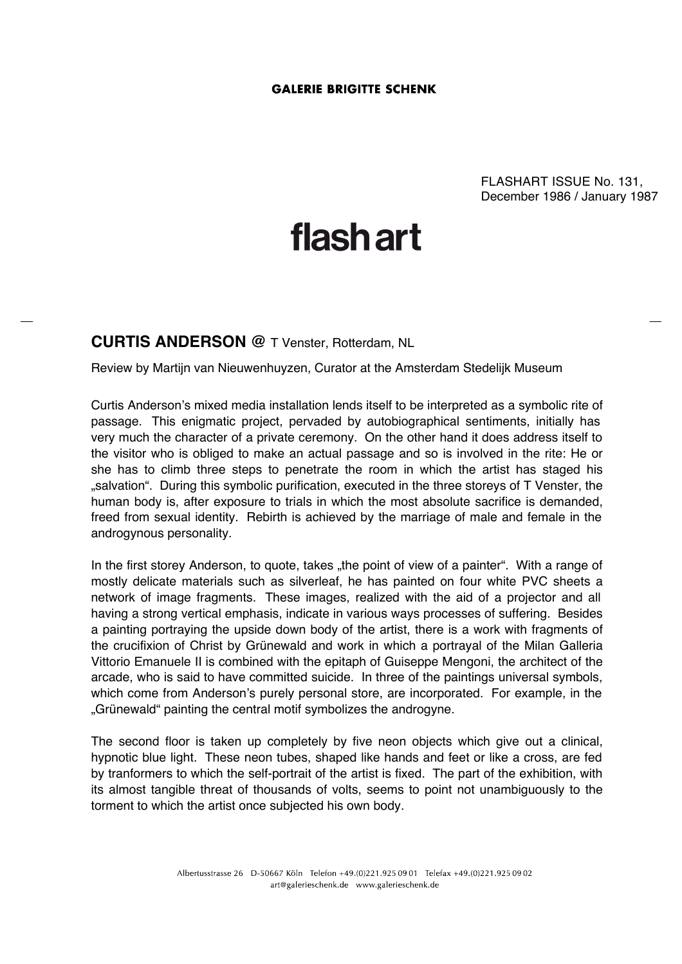FLASHART ISSUE No. 131, December 1986 / January 1987

## **flashart**

## **CURTIS ANDERSON @** T Venster, Rotterdam, NL

Review by Martijn van Nieuwenhuyzen, Curator at the Amsterdam Stedelijk Museum

Curtis Anderson's mixed media installation lends itself to be interpreted as a symbolic rite of passage. This enigmatic project, pervaded by autobiographical sentiments, initially has very much the character of a private ceremony. On the other hand it does address itself to the visitor who is obliged to make an actual passage and so is involved in the rite: He or she has to climb three steps to penetrate the room in which the artist has staged his "salvation". During this symbolic purification, executed in the three storeys of T Venster, the human body is, after exposure to trials in which the most absolute sacrifice is demanded, freed from sexual identity. Rebirth is achieved by the marriage of male and female in the androgynous personality.

In the first storey Anderson, to quote, takes "the point of view of a painter". With a range of mostly delicate materials such as silverleaf, he has painted on four white PVC sheets a network of image fragments. These images, realized with the aid of a projector and all having a strong vertical emphasis, indicate in various ways processes of suffering. Besides a painting portraying the upside down body of the artist, there is a work with fragments of the crucifixion of Christ by Grünewald and work in which a portrayal of the Milan Galleria Vittorio Emanuele II is combined with the epitaph of Guiseppe Mengoni, the architect of the arcade, who is said to have committed suicide. In three of the paintings universal symbols, which come from Anderson's purely personal store, are incorporated. For example, in the "Grünewald" painting the central motif symbolizes the androgyne.

The second floor is taken up completely by five neon objects which give out a clinical, hypnotic blue light. These neon tubes, shaped like hands and feet or like a cross, are fed by tranformers to which the self-portrait of the artist is fixed. The part of the exhibition, with its almost tangible threat of thousands of volts, seems to point not unambiguously to the torment to which the artist once subjected his own body.